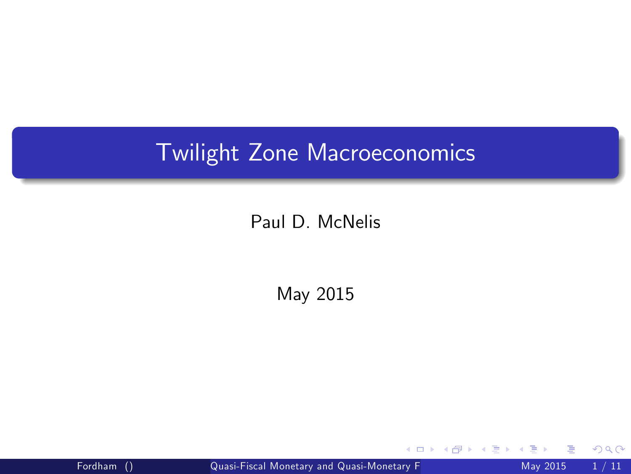## Twilight Zone Macroeconomics

## Paul D. McNelis

May 2015

Fordham () Quasi-Fiscal Monetary and Quasi-Monetary Figure 2015 1/11

 $\leftarrow$ 

<span id="page-0-0"></span>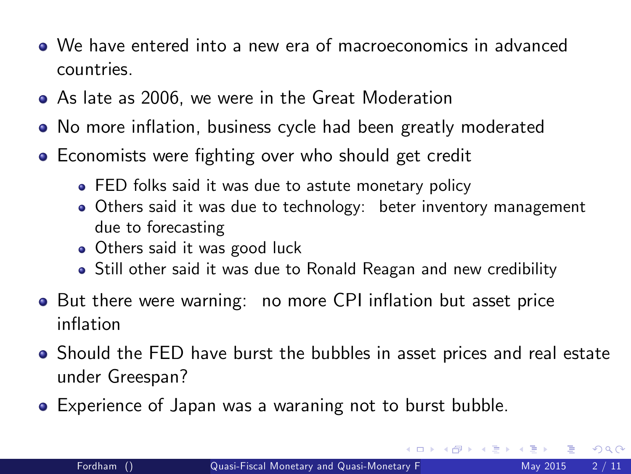- We have entered into a new era of macroeconomics in advanced countries.
- As late as 2006, we were in the Great Moderation
- No more inflation, business cycle had been greatly moderated
- Economists were fighting over who should get credit
	- **FED folks said it was due to astute monetary policy**
	- Others said it was due to technology: beter inventory management due to forecasting
	- Others said it was good luck
	- Still other said it was due to Ronald Reagan and new credibility
- But there were warning: no more CPI inflation but asset price inflation
- Should the FED have burst the bubbles in asset prices and real estate under Greespan?
- <span id="page-1-0"></span>Experience of Japan was a waraning not to burst bubble.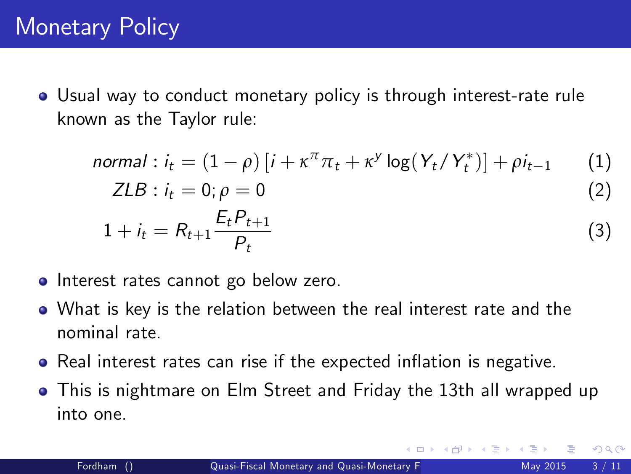Usual way to conduct monetary policy is through interest-rate rule known as the Taylor rule:

normal : 
$$
i_t = (1 - \rho) [i + \kappa^\pi \pi_t + \kappa^\gamma \log(Y_t/Y_t^*)] + \rho i_{t-1}
$$
 (1)

$$
ZLB: i_t = 0; \rho = 0 \tag{2}
$$

$$
1 + i_t = R_{t+1} \frac{E_t P_{t+1}}{P_t}
$$
\n(3)

- **•** Interest rates cannot go below zero.
- What is key is the relation between the real interest rate and the nominal rate.
- Real interest rates can rise if the expected inflation is negative.
- This is nightmare on Elm Street and Friday the 13th all wrapped up into one.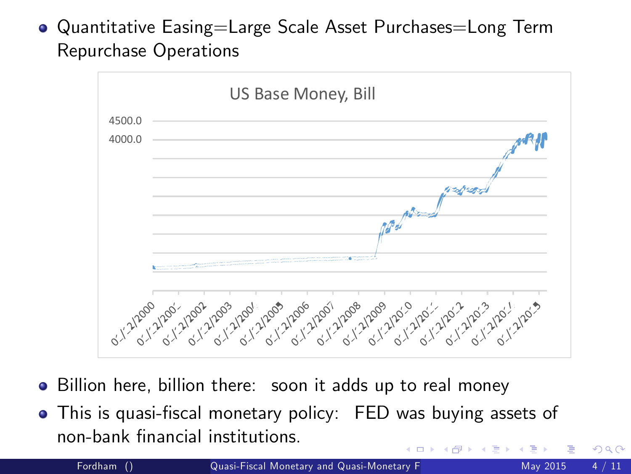Quantitative Easing=Large Scale Asset Purchases=Long Term Repurchase Operations



- Billion here, billion there: soon it adds up to real money
- This is quasi-fiscal monetary policy: FED was buying assets of non-bank Önancial institutions.

Fordham () **Quasi-Fiscal Monetary and Quasi-Monetary F** May 2015 4 / 11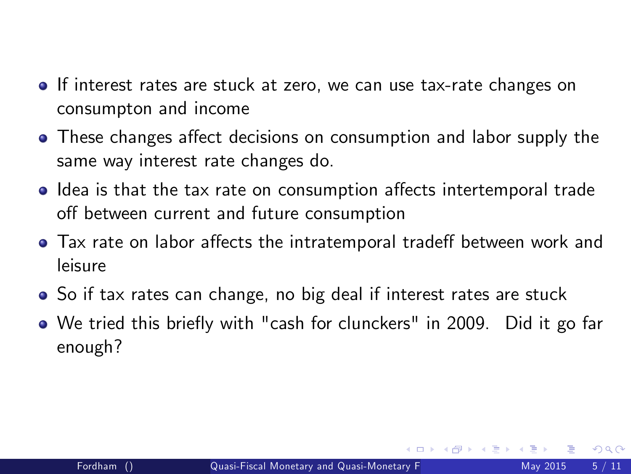- If interest rates are stuck at zero, we can use tax-rate changes on consumpton and income
- These changes affect decisions on consumption and labor supply the same way interest rate changes do.
- Idea is that the tax rate on consumption affects intertemporal trade off between current and future consumption
- Tax rate on labor affects the intratemporal tradeff between work and leisure
- So if tax rates can change, no big deal if interest rates are stuck
- We tried this briefly with "cash for clunckers" in 2009. Did it go far enough?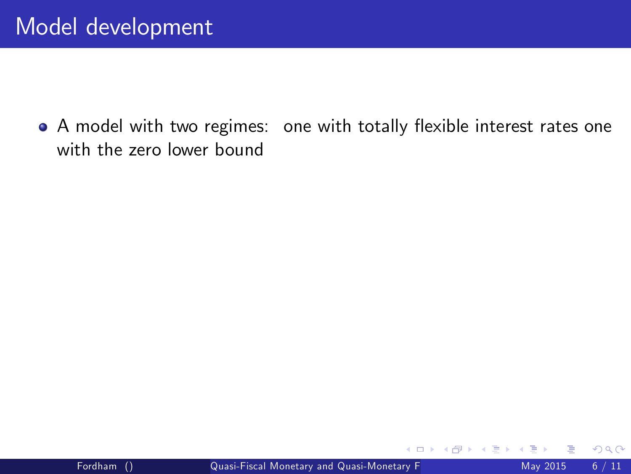• A model with two regimes: one with totally flexible interest rates one with the zero lower bound

4 D F

 $\rightarrow$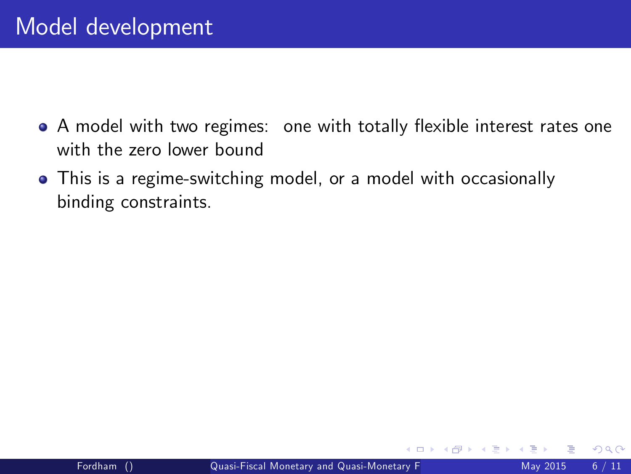- A model with two regimes: one with totally flexible interest rates one with the zero lower bound
- This is a regime-switching model, or a model with occasionally binding constraints.

 $\leftarrow$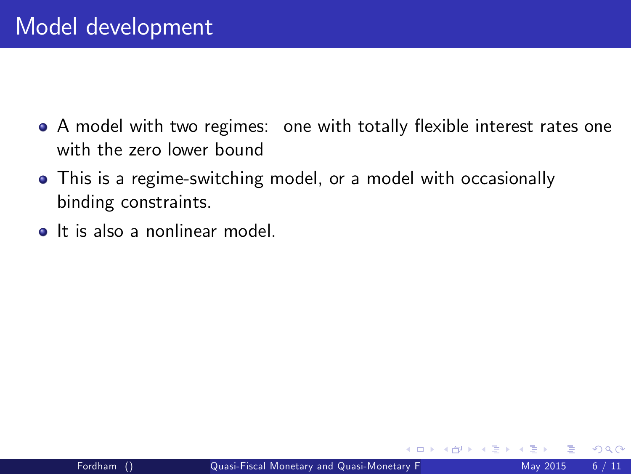- A model with two regimes: one with totally flexible interest rates one with the zero lower bound
- This is a regime-switching model, or a model with occasionally binding constraints.
- **It is also a nonlinear model**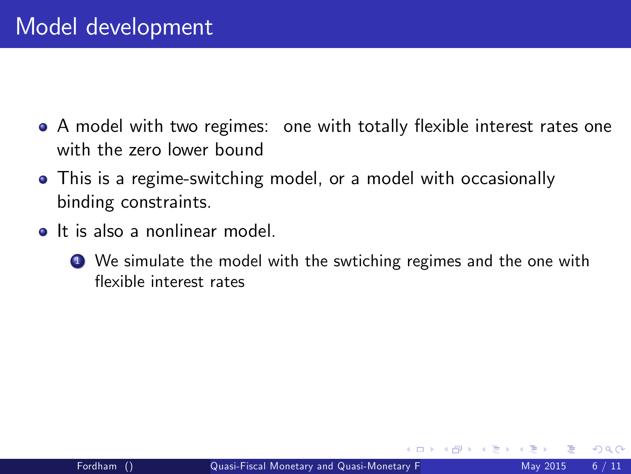- A model with two regimes: one with totally flexible interest rates one with the zero lower bound
- This is a regime-switching model, or a model with occasionally binding constraints.
- **o** It is also a nonlinear model
	- **1** We simulate the model with the swtiching regimes and the one with flexible interest rates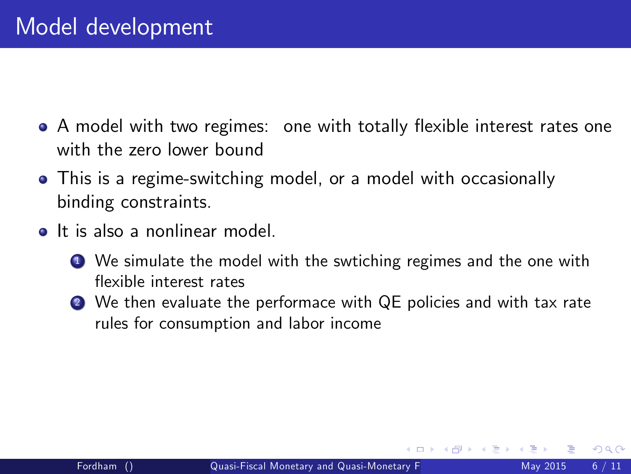- A model with two regimes: one with totally flexible interest rates one with the zero lower bound
- This is a regime-switching model, or a model with occasionally binding constraints.
- **o** It is also a nonlinear model
	- **1** We simulate the model with the swtiching regimes and the one with flexible interest rates
	- 2 We then evaluate the performace with QE policies and with tax rate rules for consumption and labor income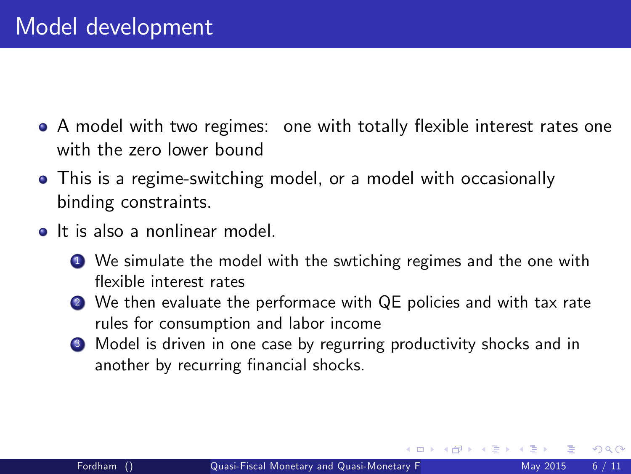- A model with two regimes: one with totally flexible interest rates one with the zero lower bound
- This is a regime-switching model, or a model with occasionally binding constraints.
- <span id="page-10-0"></span>It is also a nonlinear model.
	- **1** We simulate the model with the swtiching regimes and the one with flexible interest rates
	- 2 We then evaluate the performace with QE policies and with tax rate rules for consumption and labor income
	- <sup>3</sup> Model is driven in one case by regurring productivity shocks and in another by recurring financial shocks.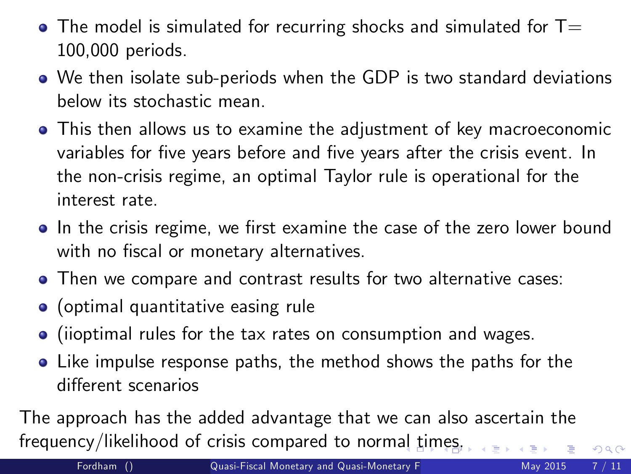- $\bullet$  The model is simulated for recurring shocks and simulated for T= 100,000 periods.
- We then isolate sub-periods when the GDP is two standard deviations below its stochastic mean.
- This then allows us to examine the adjustment of key macroeconomic variables for five years before and five years after the crisis event. In the non-crisis regime, an optimal Taylor rule is operational for the interest rate.
- In the crisis regime, we first examine the case of the zero lower bound with no fiscal or monetary alternatives.
- Then we compare and contrast results for two alternative cases:
- (optimal quantitative easing rule
- (iioptimal rules for the tax rates on consumption and wages.
- Like impulse response paths, the method shows the paths for the different scenarios

The approach has the added advantage that we can also ascertain the frequency/likelihood of crisis compared to norm[al](#page-10-0) t[im](#page-12-0)[e](#page-10-0)[s.](#page-11-0)

<span id="page-11-0"></span> $QQ$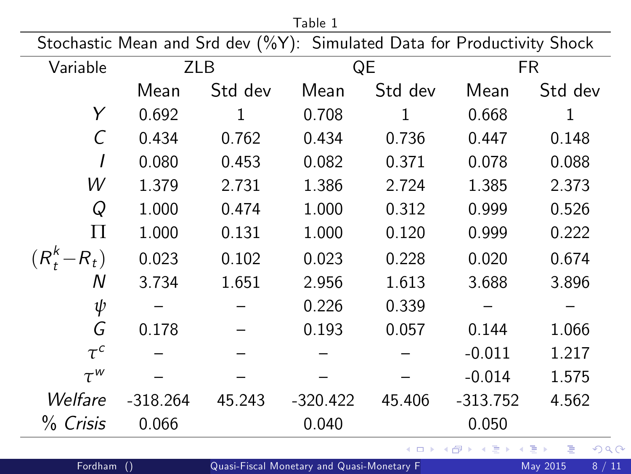| Table 1                                                                 |            |         |            |         |            |         |  |  |  |  |  |
|-------------------------------------------------------------------------|------------|---------|------------|---------|------------|---------|--|--|--|--|--|
| Stochastic Mean and Srd dev (%Y): Simulated Data for Productivity Shock |            |         |            |         |            |         |  |  |  |  |  |
| Variable                                                                | <b>ZLB</b> |         | QE         |         | FR.        |         |  |  |  |  |  |
|                                                                         | Mean       | Std dev | Mean       | Std dev | Mean       | Std dev |  |  |  |  |  |
| Y                                                                       | 0.692      | 1       | 0.708      | 1       | 0.668      | 1       |  |  |  |  |  |
| C                                                                       | 0.434      | 0.762   | 0.434      | 0.736   | 0.447      | 0.148   |  |  |  |  |  |
|                                                                         | 0.080      | 0.453   | 0.082      | 0.371   | 0.078      | 0.088   |  |  |  |  |  |
| W                                                                       | 1.379      | 2.731   | 1.386      | 2.724   | 1.385      | 2.373   |  |  |  |  |  |
| Q                                                                       | 1.000      | 0.474   | 1.000      | 0.312   | 0.999      | 0.526   |  |  |  |  |  |
| П                                                                       | 1.000      | 0.131   | 1.000      | 0.120   | 0.999      | 0.222   |  |  |  |  |  |
| $(R_t^k - R_t)$                                                         | 0.023      | 0.102   | 0.023      | 0.228   | 0.020      | 0.674   |  |  |  |  |  |
| Ν                                                                       | 3.734      | 1.651   | 2.956      | 1.613   | 3.688      | 3.896   |  |  |  |  |  |
| ψ                                                                       |            |         | 0.226      | 0.339   |            |         |  |  |  |  |  |
| G                                                                       | 0.178      |         | 0.193      | 0.057   | 0.144      | 1.066   |  |  |  |  |  |
| $\tau^c$                                                                |            |         |            |         | $-0.011$   | 1.217   |  |  |  |  |  |
| $\tau^w$                                                                |            |         |            |         | $-0.014$   | 1.575   |  |  |  |  |  |
| Welfare                                                                 | $-318.264$ | 45.243  | $-320.422$ | 45.406  | $-313.752$ | 4.562   |  |  |  |  |  |
| % Crisis                                                                | 0.066      |         | 0.040      |         | 0.050      |         |  |  |  |  |  |

Fordham () [Quasi-Fiscal Monetary and Quasi-Monetary Fiscal Policies](#page-0-0) May 2015 8 / 11

<span id="page-12-0"></span> $\equiv$ 

イロト イ部 トイモト イモト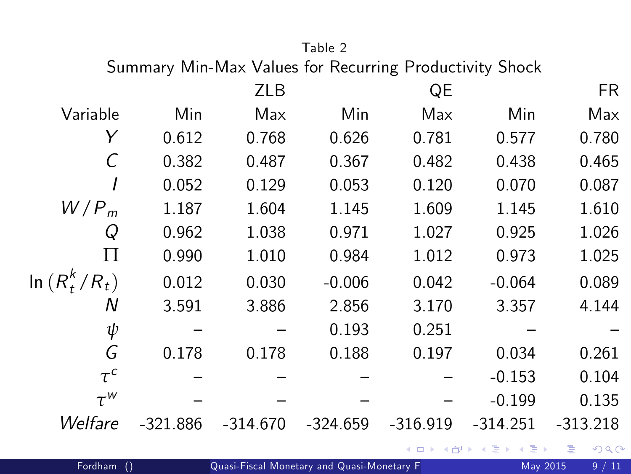## <span id="page-13-0"></span>Table 2

Summary Min-Max Values for Recurring Productivity Shock

|                  |            | <b>ZLB</b> |            | QE         |                                                                    | FR.        |
|------------------|------------|------------|------------|------------|--------------------------------------------------------------------|------------|
| Variable         | Min        | Max        | Min        | Max        | Min                                                                | Max        |
| Y                | 0.612      | 0.768      | 0.626      | 0.781      | 0.577                                                              | 0.780      |
| C                | 0.382      | 0.487      | 0.367      | 0.482      | 0.438                                                              | 0.465      |
|                  | 0.052      | 0.129      | 0.053      | 0.120      | 0.070                                                              | 0.087      |
| $W/P_m$          | 1.187      | 1.604      | 1.145      | 1.609      | 1.145                                                              | 1.610      |
| Q                | 0.962      | 1.038      | 0.971      | 1.027      | 0.925                                                              | 1.026      |
| П                | 0.990      | 1.010      | 0.984      | 1.012      | 0.973                                                              | 1.025      |
| $\ln(R_t^k/R_t)$ | 0.012      | 0.030      | $-0.006$   | 0.042      | $-0.064$                                                           | 0.089      |
| Ν                | 3.591      | 3.886      | 2.856      | 3.170      | 3.357                                                              | 4.144      |
| ψ                |            |            | 0.193      | 0.251      |                                                                    |            |
| G                | 0.178      | 0.178      | 0.188      | 0.197      | 0.034                                                              | 0.261      |
| $\tau^c$         |            |            |            |            | $-0.153$                                                           | 0.104      |
| $\tau^w$         |            |            |            |            | $-0.199$                                                           | 0.135      |
| Welfare          | $-321.886$ | $-314.670$ | $-324.659$ | $-316.919$ | $-314.251$                                                         | $-313.218$ |
|                  |            |            |            |            | $A \cap B \cup A \cap B \cup A \neq A \cup B \cup A \neq A \cup A$ |            |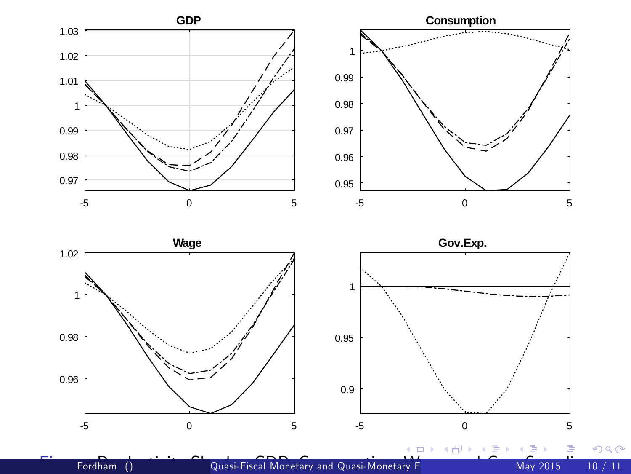



Fordham() **Produce Consumption, Consumption, Productivity Shocks: [G](#page-11-0)[ov](#page-15-0)ernmentary [S](#page-1-0)hocks: Consumption**, Wage, 2015 10 / 11

 $\leftarrow$ 

<span id="page-14-0"></span>Þ